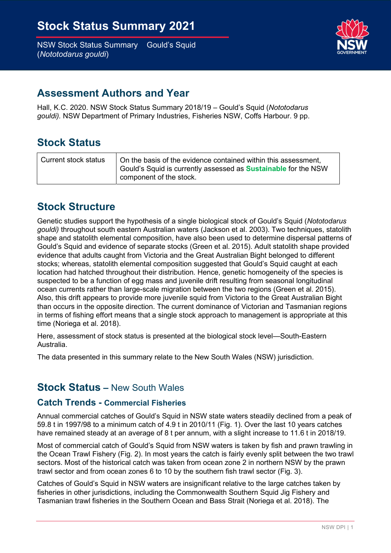

## Assessment Authors and Year

Hall, K.C. 2020. NSW Stock Status Summary 2018/19 - Gould's Squid (Nototodarus gouldi). NSW Department of Primary Industries, Fisheries NSW, Coffs Harbour. 9 pp.

## Stock Status

| Current stock status | On the basis of the evidence contained within this assessment,<br>Gould's Squid is currently assessed as <b>Sustainable</b> for the NSW<br>component of the stock. |
|----------------------|--------------------------------------------------------------------------------------------------------------------------------------------------------------------|
|----------------------|--------------------------------------------------------------------------------------------------------------------------------------------------------------------|

# Stock Structure

Genetic studies support the hypothesis of a single biological stock of Gould's Squid (Nototodarus gouldi) throughout south eastern Australian waters (Jackson et al. 2003). Two techniques, statolith shape and statolith elemental composition, have also been used to determine dispersal patterns of Gould's Squid and evidence of separate stocks (Green et al. 2015). Adult statolith shape provided evidence that adults caught from Victoria and the Great Australian Bight belonged to different stocks; whereas, statolith elemental composition suggested that Gould's Squid caught at each location had hatched throughout their distribution. Hence, genetic homogeneity of the species is suspected to be a function of egg mass and juvenile drift resulting from seasonal longitudinal ocean currents rather than large-scale migration between the two regions (Green et al. 2015). Also, this drift appears to provide more juvenile squid from Victoria to the Great Australian Bight than occurs in the opposite direction. The current dominance of Victorian and Tasmanian regions in terms of fishing effort means that a single stock approach to management is appropriate at this time (Noriega et al. 2018).

 Here, assessment of stock status is presented at the biological stock level—South-Eastern Australia.

The data presented in this summary relate to the New South Wales (NSW) jurisdiction.

## Stock Status – New South Wales

#### Catch Trends - Commercial Fisheries

 Annual commercial catches of Gould's Squid in NSW state waters steadily declined from a peak of 59.8 t in 1997/98 to a minimum catch of 4.9 t in 2010/11 (Fig. 1). Over the last 10 years catches have remained steady at an average of 8 t per annum, with a slight increase to 11.6 t in 2018/19.

 Most of commercial catch of Gould's Squid from NSW waters is taken by fish and prawn trawling in the Ocean Trawl Fishery (Fig. 2). In most years the catch is fairly evenly split between the two trawl sectors. Most of the historical catch was taken from ocean zone 2 in northern NSW by the prawn trawl sector and from ocean zones 6 to 10 by the southern fish trawl sector (Fig. 3).

 Catches of Gould's Squid in NSW waters are insignificant relative to the large catches taken by fisheries in other jurisdictions, including the Commonwealth Southern Squid Jig Fishery and Tasmanian trawl fisheries in the Southern Ocean and Bass Strait (Noriega et al. 2018). The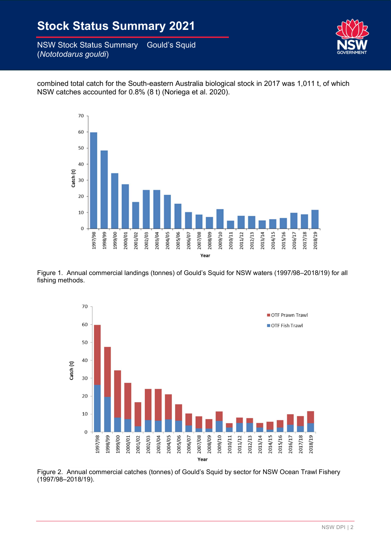

 combined total catch for the South-eastern Australia biological stock in 2017 was 1,011 t, of which NSW catches accounted for 0.8% (8 t) (Noriega et al. 2020).



 Figure 1. Annual commercial landings (tonnes) of Gould's Squid for NSW waters (1997/98–2018/19) for all fishing methods.



 Figure 2. Annual commercial catches (tonnes) of Gould's Squid by sector for NSW Ocean Trawl Fishery (1997/98–2018/19).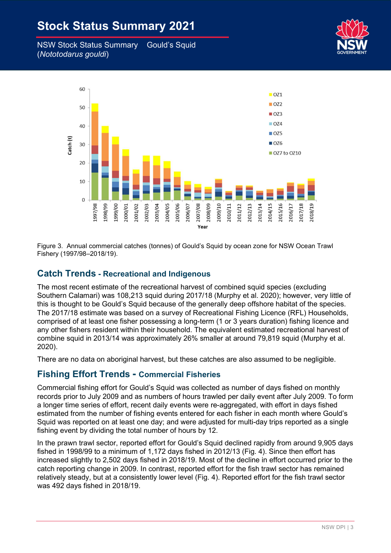# **Stock Status Summary 2021**

– NSW Stock Status Summary Gould's Squid (Nototodarus gouldi)





 Figure 3. Annual commercial catches (tonnes) of Gould's Squid by ocean zone for NSW Ocean Trawl Fishery (1997/98–2018/19).

#### Catch Trends - Recreational and Indigenous

 The most recent estimate of the recreational harvest of combined squid species (excluding Southern Calamari) was 108,213 squid during 2017/18 (Murphy et al. 2020); however, very little of this is thought to be Gould's Squid because of the generally deep offshore habitat of the species. The 2017/18 estimate was based on a survey of Recreational Fishing Licence (RFL) Households, comprised of at least one fisher possessing a long-term (1 or 3 years duration) fishing licence and any other fishers resident within their household. The equivalent estimated recreational harvest of combine squid in 2013/14 was approximately 26% smaller at around 79,819 squid (Murphy et al. 2020).

There are no data on aboriginal harvest, but these catches are also assumed to be negligible.

### Fishing Effort Trends - Commercial Fisheries

 Commercial fishing effort for Gould's Squid was collected as number of days fished on monthly records prior to July 2009 and as numbers of hours trawled per daily event after July 2009. To form a longer time series of effort, recent daily events were re-aggregated, with effort in days fished estimated from the number of fishing events entered for each fisher in each month where Gould's Squid was reported on at least one day; and were adjusted for multi-day trips reported as a single fishing event by dividing the total number of hours by 12.

 In the prawn trawl sector, reported effort for Gould's Squid declined rapidly from around 9,905 days fished in 1998/99 to a minimum of 1,172 days fished in 2012/13 (Fig. 4). Since then effort has increased slightly to 2,502 days fished in 2018/19. Most of the decline in effort occurred prior to the catch reporting change in 2009. In contrast, reported effort for the fish trawl sector has remained relatively steady, but at a consistently lower level (Fig. 4). Reported effort for the fish trawl sector was 492 days fished in 2018/19.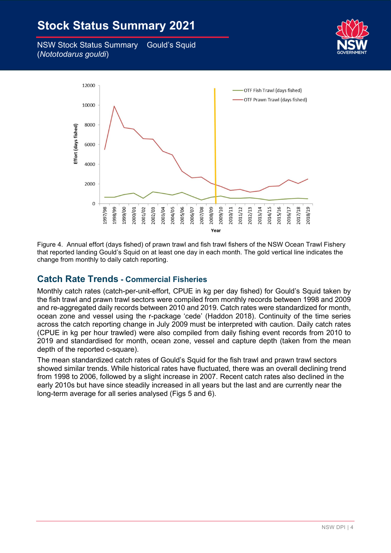# **Stock Status Summary 2021**

– NSW Stock Status Summary Gould's Squid (Nototodarus gouldi)





 Figure 4. Annual effort (days fished) of prawn trawl and fish trawl fishers of the NSW Ocean Trawl Fishery that reported landing Gould's Squid on at least one day in each month. The gold vertical line indicates the change from monthly to daily catch reporting.

### Catch Rate Trends - Commercial Fisheries

 Monthly catch rates (catch-per-unit-effort, CPUE in kg per day fished) for Gould's Squid taken by the fish trawl and prawn trawl sectors were compiled from monthly records between 1998 and 2009 and re-aggregated daily records between 2010 and 2019. Catch rates were standardized for month, ocean zone and vessel using the r-package 'cede' (Haddon 2018). Continuity of the time series across the catch reporting change in July 2009 must be interpreted with caution. Daily catch rates (CPUE in kg per hour trawled) were also compiled from daily fishing event records from 2010 to 2019 and standardised for month, ocean zone, vessel and capture depth (taken from the mean depth of the reported c-square).

 The mean standardized catch rates of Gould's Squid for the fish trawl and prawn trawl sectors showed similar trends. While historical rates have fluctuated, there was an overall declining trend from 1998 to 2006, followed by a slight increase in 2007. Recent catch rates also declined in the early 2010s but have since steadily increased in all years but the last and are currently near the long-term average for all series analysed (Figs 5 and 6).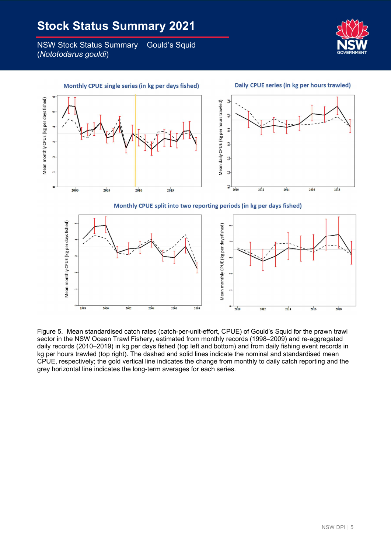**Gould's Squid NSW Stock Status Summary** (Nototodarus gouldi)



Daily CPUE series (in kg per hours trawled) Monthly CPUE single series (in kg per days fished) Mean monthly CPUE (kg per days fished) Mean daily CPUE (kg per hours trawled)  $\overline{5}$  $0,4$  $0<sub>1</sub>$  $0<sub>1</sub>$  $\overline{a}$  $^{0,0}$  $2000$  $2005$  $2010$  $2015$  $2010$  $2012$  $2014$ 2016  $2018$ Monthly CPUE split into two reporting periods (in kg per days fished)



 Figure 5. Mean standardised catch rates (catch-per-unit-effort, CPUE) of Gould's Squid for the prawn trawl sector in the NSW Ocean Trawl Fishery, estimated from monthly records (1998–2009) and re-aggregated daily records (2010–2019) in kg per days fished (top left and bottom) and from daily fishing event records in kg per hours trawled (top right). The dashed and solid lines indicate the nominal and standardised mean CPUE, respectively; the gold vertical line indicates the change from monthly to daily catch reporting and the grey horizontal line indicates the long-term averages for each series.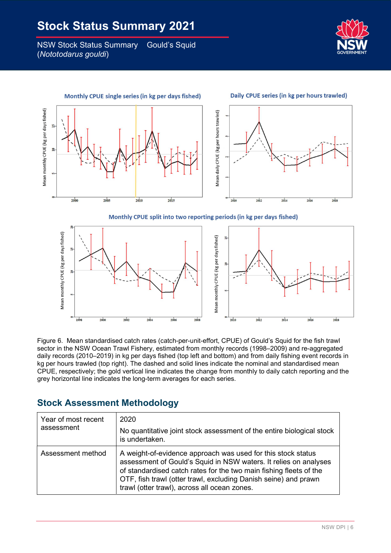



Monthly CPUE split into two reporting periods (in kg per days fished)



 Figure 6. Mean standardised catch rates (catch-per-unit-effort, CPUE) of Gould's Squid for the fish trawl sector in the NSW Ocean Trawl Fishery, estimated from monthly records (1998–2009) and re-aggregated daily records (2010–2019) in kg per days fished (top left and bottom) and from daily fishing event records in kg per hours trawled (top right). The dashed and solid lines indicate the nominal and standardised mean CPUE, respectively; the gold vertical line indicates the change from monthly to daily catch reporting and the grey horizontal line indicates the long-term averages for each series.

## Stock Assessment Methodology

| Year of most recent<br>assessment | 2020<br>No quantitative joint stock assessment of the entire biological stock<br>is undertaken.                                                                                                                                                                                                                           |
|-----------------------------------|---------------------------------------------------------------------------------------------------------------------------------------------------------------------------------------------------------------------------------------------------------------------------------------------------------------------------|
| Assessment method                 | A weight-of-evidence approach was used for this stock status<br>assessment of Gould's Squid in NSW waters. It relies on analyses<br>of standardised catch rates for the two main fishing fleets of the<br>OTF, fish trawl (otter trawl, excluding Danish seine) and prawn<br>trawl (otter trawl), across all ocean zones. |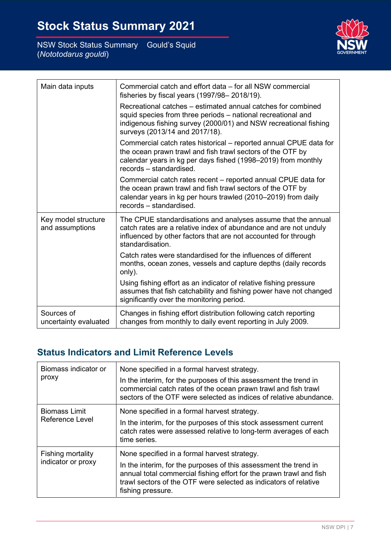NSW DPI | 7

| $m$ ary $\sim$ Oburu J Oquru |  |
|------------------------------|--|
|                              |  |
|                              |  |

|  | <b>Stock Status Summary 2021</b> |  |
|--|----------------------------------|--|
|  |                                  |  |

– NSW Stock Status Summary Gould's Squid (Nototodarus gouldi)

r

| Main data inputs                       | Commercial catch and effort data - for all NSW commercial<br>fisheries by fiscal years (1997/98-2018/19).                                                                                                                          |
|----------------------------------------|------------------------------------------------------------------------------------------------------------------------------------------------------------------------------------------------------------------------------------|
|                                        | Recreational catches – estimated annual catches for combined<br>squid species from three periods - national recreational and<br>indigenous fishing survey (2000/01) and NSW recreational fishing<br>surveys (2013/14 and 2017/18). |
|                                        | Commercial catch rates historical - reported annual CPUE data for<br>the ocean prawn trawl and fish trawl sectors of the OTF by<br>calendar years in kg per days fished (1998–2019) from monthly<br>records – standardised.        |
|                                        | Commercial catch rates recent – reported annual CPUE data for<br>the ocean prawn trawl and fish trawl sectors of the OTF by<br>calendar years in kg per hours trawled (2010-2019) from daily<br>records - standardised.            |
| Key model structure<br>and assumptions | The CPUE standardisations and analyses assume that the annual<br>catch rates are a relative index of abundance and are not unduly<br>influenced by other factors that are not accounted for through<br>standardisation.            |
|                                        | Catch rates were standardised for the influences of different<br>months, ocean zones, vessels and capture depths (daily records<br>only).                                                                                          |
|                                        | Using fishing effort as an indicator of relative fishing pressure<br>assumes that fish catchability and fishing power have not changed<br>significantly over the monitoring period.                                                |
| Sources of<br>uncertainty evaluated    | Changes in fishing effort distribution following catch reporting<br>changes from monthly to daily event reporting in July 2009.                                                                                                    |

## Status Indicators and Limit Reference Levels

| Biomass indicator or<br>proxy           | None specified in a formal harvest strategy.<br>In the interim, for the purposes of this assessment the trend in<br>commercial catch rates of the ocean prawn trawl and fish trawl<br>sectors of the OTF were selected as indices of relative abundance.                         |
|-----------------------------------------|----------------------------------------------------------------------------------------------------------------------------------------------------------------------------------------------------------------------------------------------------------------------------------|
| <b>Biomass Limit</b><br>Reference Level | None specified in a formal harvest strategy.<br>In the interim, for the purposes of this stock assessment current<br>catch rates were assessed relative to long-term averages of each<br>time series.                                                                            |
| Fishing mortality<br>indicator or proxy | None specified in a formal harvest strategy.<br>In the interim, for the purposes of this assessment the trend in<br>annual total commercial fishing effort for the prawn trawl and fish<br>trawl sectors of the OTF were selected as indicators of relative<br>fishing pressure. |

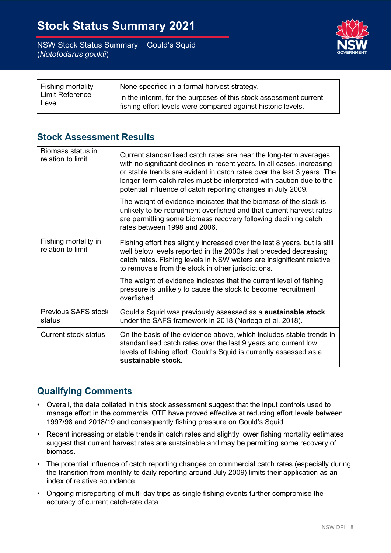

| Fishing mortality<br><b>Limit Reference</b><br>Level | None specified in a formal harvest strategy.                                                                                      |
|------------------------------------------------------|-----------------------------------------------------------------------------------------------------------------------------------|
|                                                      | In the interim, for the purposes of this stock assessment current<br>fishing effort levels were compared against historic levels. |

### Stock Assessment Results

| Biomass status in<br>relation to limit    | Current standardised catch rates are near the long-term averages<br>with no significant declines in recent years. In all cases, increasing<br>or stable trends are evident in catch rates over the last 3 years. The<br>longer-term catch rates must be interpreted with caution due to the<br>potential influence of catch reporting changes in July 2009. |
|-------------------------------------------|-------------------------------------------------------------------------------------------------------------------------------------------------------------------------------------------------------------------------------------------------------------------------------------------------------------------------------------------------------------|
|                                           | The weight of evidence indicates that the biomass of the stock is<br>unlikely to be recruitment overfished and that current harvest rates<br>are permitting some biomass recovery following declining catch<br>rates between 1998 and 2006.                                                                                                                 |
| Fishing mortality in<br>relation to limit | Fishing effort has slightly increased over the last 8 years, but is still<br>well below levels reported in the 2000s that preceded decreasing<br>catch rates. Fishing levels in NSW waters are insignificant relative<br>to removals from the stock in other jurisdictions.                                                                                 |
|                                           | The weight of evidence indicates that the current level of fishing<br>pressure is unlikely to cause the stock to become recruitment<br>overfished.                                                                                                                                                                                                          |
| Previous SAFS stock<br>status             | Gould's Squid was previously assessed as a sustainable stock<br>under the SAFS framework in 2018 (Noriega et al. 2018).                                                                                                                                                                                                                                     |
| Current stock status                      | On the basis of the evidence above, which includes stable trends in<br>standardised catch rates over the last 9 years and current low<br>levels of fishing effort, Gould's Squid is currently assessed as a<br>sustainable stock.                                                                                                                           |

## Qualifying Comments

- • Overall, the data collated in this stock assessment suggest that the input controls used to manage effort in the commercial OTF have proved effective at reducing effort levels between 1997/98 and 2018/19 and consequently fishing pressure on Gould's Squid.
- • Recent increasing or stable trends in catch rates and slightly lower fishing mortality estimates suggest that current harvest rates are sustainable and may be permitting some recovery of biomass.
- the transition from monthly to daily reporting around July 2009) limits their application as an index of relative abundance. • The potential influence of catch reporting changes on commercial catch rates (especially during
- • Ongoing misreporting of multi-day trips as single fishing events further compromise the accuracy of current catch-rate data.